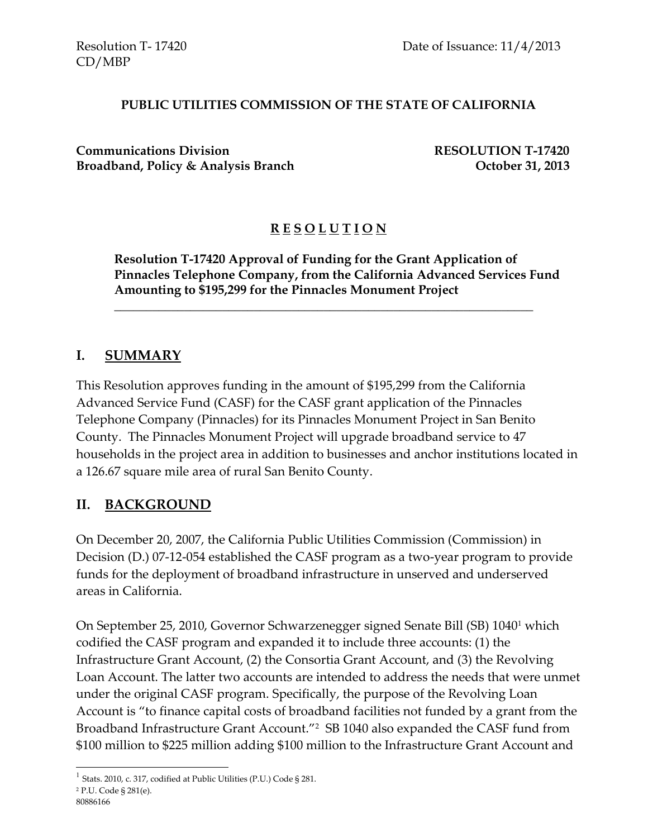#### **PUBLIC UTILITIES COMMISSION OF THE STATE OF CALIFORNIA**

**Communications Division RESOLUTION T-17420**  Broadband, Policy & Analysis Branch **Department Controller 31, 2013** 

### **R E S O L U T I O N**

**Resolution T-17420 Approval of Funding for the Grant Application of Pinnacles Telephone Company, from the California Advanced Services Fund Amounting to \$195,299 for the Pinnacles Monument Project**

\_\_\_\_\_\_\_\_\_\_\_\_\_\_\_\_\_\_\_\_\_\_\_\_\_\_\_\_\_\_\_\_\_\_\_\_\_\_\_\_\_\_\_\_\_\_\_\_\_\_\_\_\_\_\_\_\_\_\_\_\_\_\_\_\_\_

#### **I. SUMMARY**

This Resolution approves funding in the amount of \$195,299 from the California Advanced Service Fund (CASF) for the CASF grant application of the Pinnacles Telephone Company (Pinnacles) for its Pinnacles Monument Project in San Benito County. The Pinnacles Monument Project will upgrade broadband service to 47 households in the project area in addition to businesses and anchor institutions located in a 126.67 square mile area of rural San Benito County.

# **II. BACKGROUND**

On December 20, 2007, the California Public Utilities Commission (Commission) in Decision (D.) 07-12-054 established the CASF program as a two-year program to provide funds for the deployment of broadband infrastructure in unserved and underserved areas in California.

On September 25, 2010, Governor Schwarzenegger signed Senate Bill (SB) 1040<sup>1</sup> which codified the CASF program and expanded it to include three accounts: (1) the Infrastructure Grant Account, (2) the Consortia Grant Account, and (3) the Revolving Loan Account. The latter two accounts are intended to address the needs that were unmet under the original CASF program. Specifically, the purpose of the Revolving Loan Account is "to finance capital costs of broadband facilities not funded by a grant from the Broadband Infrastructure Grant Account."<sup>2</sup> SB 1040 also expanded the CASF fund from \$100 million to \$225 million adding \$100 million to the Infrastructure Grant Account and

 $\overline{a}$ 

<sup>&</sup>lt;sup>1</sup> Stats. 2010, c. 317, codified at Public Utilities (P.U.) Code § 281.

<sup>2</sup> P.U. Code § 281(e).

<sup>80886166</sup>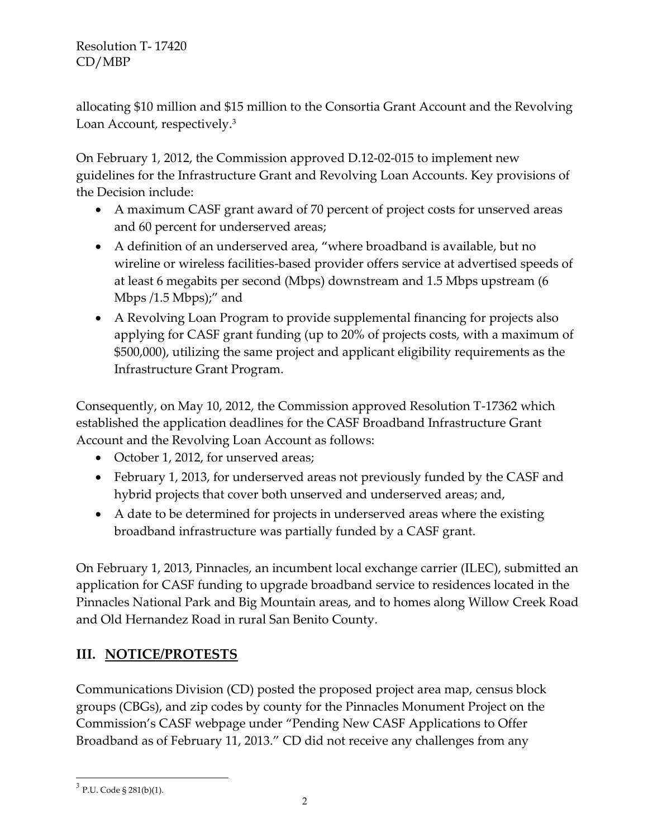allocating \$10 million and \$15 million to the Consortia Grant Account and the Revolving Loan Account, respectively.<sup>3</sup>

On February 1, 2012, the Commission approved D.12-02-015 to implement new guidelines for the Infrastructure Grant and Revolving Loan Accounts. Key provisions of the Decision include:

- A maximum CASF grant award of 70 percent of project costs for unserved areas and 60 percent for underserved areas;
- A definition of an underserved area, "where broadband is available, but no wireline or wireless facilities-based provider offers service at advertised speeds of at least 6 megabits per second (Mbps) downstream and 1.5 Mbps upstream (6 Mbps /1.5 Mbps);" and
- A Revolving Loan Program to provide supplemental financing for projects also applying for CASF grant funding (up to 20% of projects costs, with a maximum of \$500,000), utilizing the same project and applicant eligibility requirements as the Infrastructure Grant Program.

Consequently, on May 10, 2012, the Commission approved Resolution T-17362 which established the application deadlines for the CASF Broadband Infrastructure Grant Account and the Revolving Loan Account as follows:

- October 1, 2012, for unserved areas;
- February 1, 2013, for underserved areas not previously funded by the CASF and hybrid projects that cover both unserved and underserved areas; and,
- A date to be determined for projects in underserved areas where the existing broadband infrastructure was partially funded by a CASF grant.

On February 1, 2013, Pinnacles, an incumbent local exchange carrier (ILEC), submitted an application for CASF funding to upgrade broadband service to residences located in the Pinnacles National Park and Big Mountain areas, and to homes along Willow Creek Road and Old Hernandez Road in rural San Benito County.

# **III. NOTICE/PROTESTS**

Communications Division (CD) posted the proposed project area map, census block groups (CBGs), and zip codes by county for the Pinnacles Monument Project on the Commission's CASF webpage under "Pending New CASF Applications to Offer Broadband as of February 11, 2013." CD did not receive any challenges from any

 $\overline{a}$ 

 $3$  P.U. Code § 281(b)(1).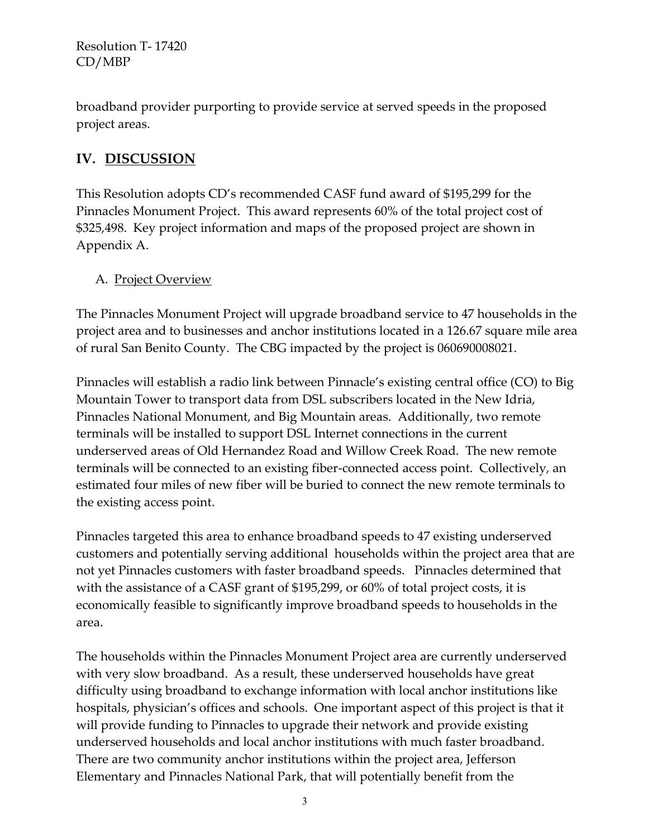broadband provider purporting to provide service at served speeds in the proposed project areas.

# **IV. DISCUSSION**

This Resolution adopts CD's recommended CASF fund award of \$195,299 for the Pinnacles Monument Project. This award represents 60% of the total project cost of \$325,498. Key project information and maps of the proposed project are shown in Appendix A.

#### A. Project Overview

The Pinnacles Monument Project will upgrade broadband service to 47 households in the project area and to businesses and anchor institutions located in a 126.67 square mile area of rural San Benito County. The CBG impacted by the project is 060690008021.

Pinnacles will establish a radio link between Pinnacle's existing central office (CO) to Big Mountain Tower to transport data from DSL subscribers located in the New Idria, Pinnacles National Monument, and Big Mountain areas. Additionally, two remote terminals will be installed to support DSL Internet connections in the current underserved areas of Old Hernandez Road and Willow Creek Road. The new remote terminals will be connected to an existing fiber-connected access point. Collectively, an estimated four miles of new fiber will be buried to connect the new remote terminals to the existing access point.

Pinnacles targeted this area to enhance broadband speeds to 47 existing underserved customers and potentially serving additional households within the project area that are not yet Pinnacles customers with faster broadband speeds. Pinnacles determined that with the assistance of a CASF grant of \$195,299, or 60% of total project costs, it is economically feasible to significantly improve broadband speeds to households in the area.

The households within the Pinnacles Monument Project area are currently underserved with very slow broadband. As a result, these underserved households have great difficulty using broadband to exchange information with local anchor institutions like hospitals, physician's offices and schools. One important aspect of this project is that it will provide funding to Pinnacles to upgrade their network and provide existing underserved households and local anchor institutions with much faster broadband. There are two community anchor institutions within the project area, Jefferson Elementary and Pinnacles National Park, that will potentially benefit from the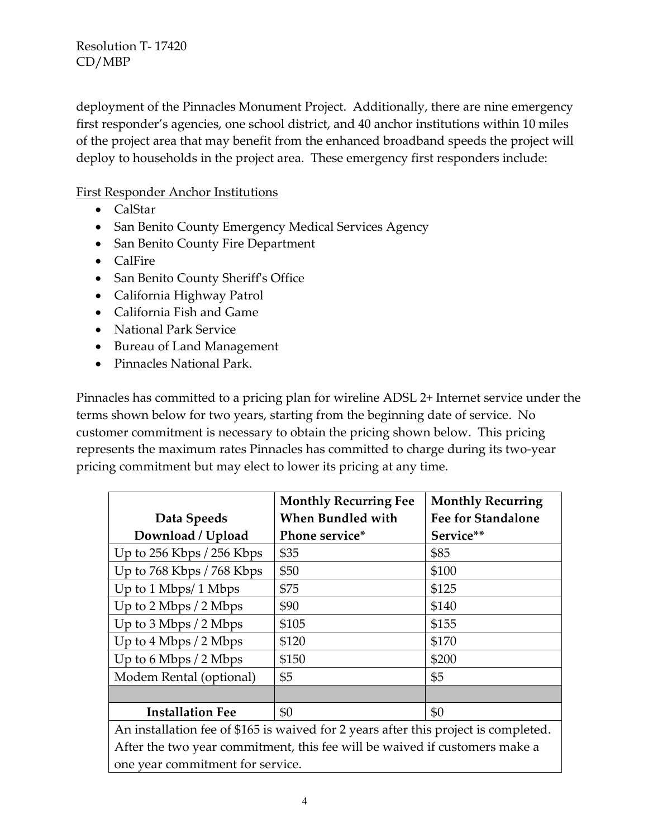deployment of the Pinnacles Monument Project. Additionally, there are nine emergency first responder's agencies, one school district, and 40 anchor institutions within 10 miles of the project area that may benefit from the enhanced broadband speeds the project will deploy to households in the project area. These emergency first responders include:

#### First Responder Anchor Institutions

- CalStar
- San Benito County Emergency Medical Services Agency
- San Benito County Fire Department
- CalFire
- San Benito County Sheriff's Office
- California Highway Patrol
- California Fish and Game
- National Park Service
- Bureau of Land Management
- Pinnacles National Park.

Pinnacles has committed to a pricing plan for wireline ADSL 2+ Internet service under the terms shown below for two years, starting from the beginning date of service. No customer commitment is necessary to obtain the pricing shown below. This pricing represents the maximum rates Pinnacles has committed to charge during its two-year pricing commitment but may elect to lower its pricing at any time.

|                                                                                     | <b>Monthly Recurring Fee</b> | <b>Monthly Recurring</b>  |  |
|-------------------------------------------------------------------------------------|------------------------------|---------------------------|--|
| Data Speeds                                                                         | <b>When Bundled with</b>     | <b>Fee for Standalone</b> |  |
| Download / Upload                                                                   | Phone service*               | Service**                 |  |
| Up to $256$ Kbps $/256$ Kbps                                                        | \$35                         | \$85                      |  |
| Up to $768$ Kbps $/768$ Kbps                                                        | \$50                         | \$100                     |  |
| Up to $1$ Mbps/ $1$ Mbps                                                            | \$75                         | \$125                     |  |
| Up to 2 Mbps / 2 Mbps                                                               | \$90                         | \$140                     |  |
| Up to $3 \text{ Mbps} / 2 \text{ Mbps}$                                             | \$105                        | \$155                     |  |
| Up to $4 \text{ Mbps} / 2 \text{ Mbps}$                                             | \$120                        | \$170                     |  |
| Up to $6$ Mbps $/2$ Mbps                                                            | \$150                        | \$200                     |  |
| Modem Rental (optional)                                                             | \$5                          | \$5                       |  |
|                                                                                     |                              |                           |  |
| <b>Installation Fee</b>                                                             | \$0                          | \$0                       |  |
| An installation fee of \$165 is waived for 2 years after this project is completed. |                              |                           |  |
| After the two year commitment this fee will be waived if gustamers make a           |                              |                           |  |

After the two year commitment, this fee will be waived if customers make a one year commitment for service.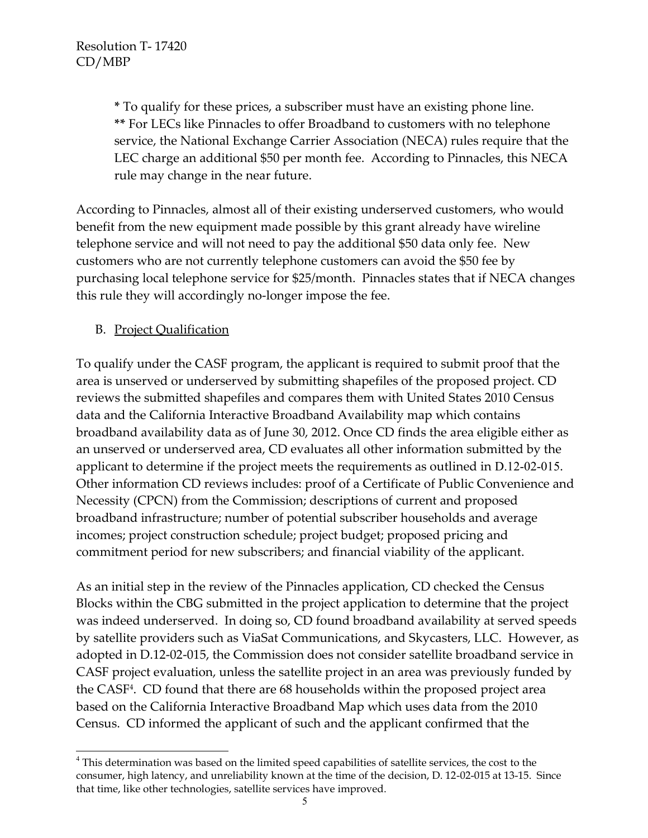**\*** To qualify for these prices, a subscriber must have an existing phone line. **\*\*** For LECs like Pinnacles to offer Broadband to customers with no telephone service, the National Exchange Carrier Association (NECA) rules require that the LEC charge an additional \$50 per month fee. According to Pinnacles, this NECA rule may change in the near future.

According to Pinnacles, almost all of their existing underserved customers, who would benefit from the new equipment made possible by this grant already have wireline telephone service and will not need to pay the additional \$50 data only fee. New customers who are not currently telephone customers can avoid the \$50 fee by purchasing local telephone service for \$25/month. Pinnacles states that if NECA changes this rule they will accordingly no-longer impose the fee.

B. Project Qualification

l

To qualify under the CASF program, the applicant is required to submit proof that the area is unserved or underserved by submitting shapefiles of the proposed project. CD reviews the submitted shapefiles and compares them with United States 2010 Census data and the California Interactive Broadband Availability map which contains broadband availability data as of June 30, 2012. Once CD finds the area eligible either as an unserved or underserved area, CD evaluates all other information submitted by the applicant to determine if the project meets the requirements as outlined in D.12-02-015. Other information CD reviews includes: proof of a Certificate of Public Convenience and Necessity (CPCN) from the Commission; descriptions of current and proposed broadband infrastructure; number of potential subscriber households and average incomes; project construction schedule; project budget; proposed pricing and commitment period for new subscribers; and financial viability of the applicant.

As an initial step in the review of the Pinnacles application, CD checked the Census Blocks within the CBG submitted in the project application to determine that the project was indeed underserved. In doing so, CD found broadband availability at served speeds by satellite providers such as ViaSat Communications, and Skycasters, LLC. However, as adopted in D.12-02-015, the Commission does not consider satellite broadband service in CASF project evaluation, unless the satellite project in an area was previously funded by the CASF<sup>4</sup> . CD found that there are 68 households within the proposed project area based on the California Interactive Broadband Map which uses data from the 2010 Census. CD informed the applicant of such and the applicant confirmed that the

<sup>&</sup>lt;sup>4</sup> This determination was based on the limited speed capabilities of satellite services, the cost to the consumer, high latency, and unreliability known at the time of the decision, D. 12-02-015 at 13-15. Since that time, like other technologies, satellite services have improved.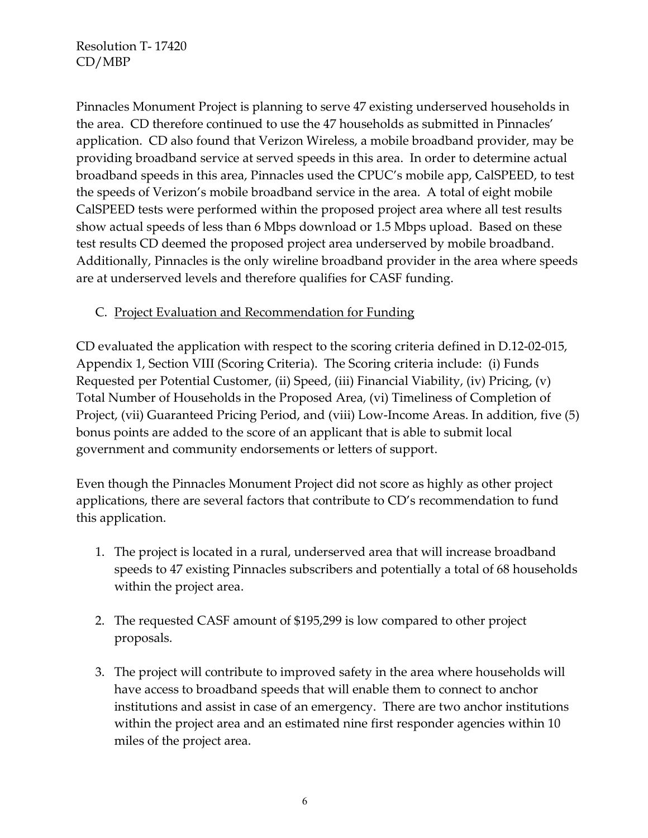Pinnacles Monument Project is planning to serve 47 existing underserved households in the area. CD therefore continued to use the 47 households as submitted in Pinnacles' application. CD also found that Verizon Wireless, a mobile broadband provider, may be providing broadband service at served speeds in this area. In order to determine actual broadband speeds in this area, Pinnacles used the CPUC's mobile app, CalSPEED, to test the speeds of Verizon's mobile broadband service in the area. A total of eight mobile CalSPEED tests were performed within the proposed project area where all test results show actual speeds of less than 6 Mbps download or 1.5 Mbps upload. Based on these test results CD deemed the proposed project area underserved by mobile broadband. Additionally, Pinnacles is the only wireline broadband provider in the area where speeds are at underserved levels and therefore qualifies for CASF funding.

### C. Project Evaluation and Recommendation for Funding

CD evaluated the application with respect to the scoring criteria defined in D.12-02-015, Appendix 1, Section VIII (Scoring Criteria). The Scoring criteria include: (i) Funds Requested per Potential Customer, (ii) Speed, (iii) Financial Viability, (iv) Pricing, (v) Total Number of Households in the Proposed Area, (vi) Timeliness of Completion of Project, (vii) Guaranteed Pricing Period, and (viii) Low-Income Areas. In addition, five (5) bonus points are added to the score of an applicant that is able to submit local government and community endorsements or letters of support.

Even though the Pinnacles Monument Project did not score as highly as other project applications, there are several factors that contribute to CD's recommendation to fund this application.

- 1. The project is located in a rural, underserved area that will increase broadband speeds to 47 existing Pinnacles subscribers and potentially a total of 68 households within the project area.
- 2. The requested CASF amount of \$195,299 is low compared to other project proposals.
- 3. The project will contribute to improved safety in the area where households will have access to broadband speeds that will enable them to connect to anchor institutions and assist in case of an emergency. There are two anchor institutions within the project area and an estimated nine first responder agencies within 10 miles of the project area.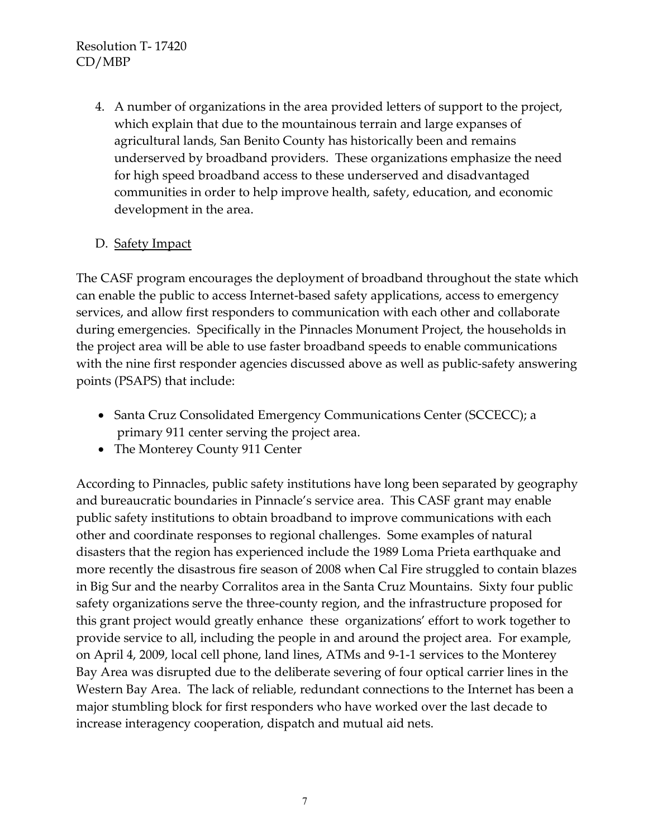4. A number of organizations in the area provided letters of support to the project, which explain that due to the mountainous terrain and large expanses of agricultural lands, San Benito County has historically been and remains underserved by broadband providers. These organizations emphasize the need for high speed broadband access to these underserved and disadvantaged communities in order to help improve health, safety, education, and economic development in the area.

# D. Safety Impact

The CASF program encourages the deployment of broadband throughout the state which can enable the public to access Internet-based safety applications, access to emergency services, and allow first responders to communication with each other and collaborate during emergencies. Specifically in the Pinnacles Monument Project, the households in the project area will be able to use faster broadband speeds to enable communications with the nine first responder agencies discussed above as well as public-safety answering points (PSAPS) that include:

- Santa Cruz Consolidated Emergency Communications Center (SCCECC); a primary 911 center serving the project area.
- The Monterey County 911 Center

According to Pinnacles, public safety institutions have long been separated by geography and bureaucratic boundaries in Pinnacle's service area. This CASF grant may enable public safety institutions to obtain broadband to improve communications with each other and coordinate responses to regional challenges. Some examples of natural disasters that the region has experienced include the 1989 Loma Prieta earthquake and more recently the disastrous fire season of 2008 when Cal Fire struggled to contain blazes in Big Sur and the nearby Corralitos area in the Santa Cruz Mountains. Sixty four public safety organizations serve the three-county region, and the infrastructure proposed for this grant project would greatly enhance these organizations' effort to work together to provide service to all, including the people in and around the project area. For example, on April 4, 2009, local cell phone, land lines, ATMs and 9-1-1 services to the Monterey Bay Area was disrupted due to the deliberate severing of four optical carrier lines in the Western Bay Area. The lack of reliable, redundant connections to the Internet has been a major stumbling block for first responders who have worked over the last decade to increase interagency cooperation, dispatch and mutual aid nets.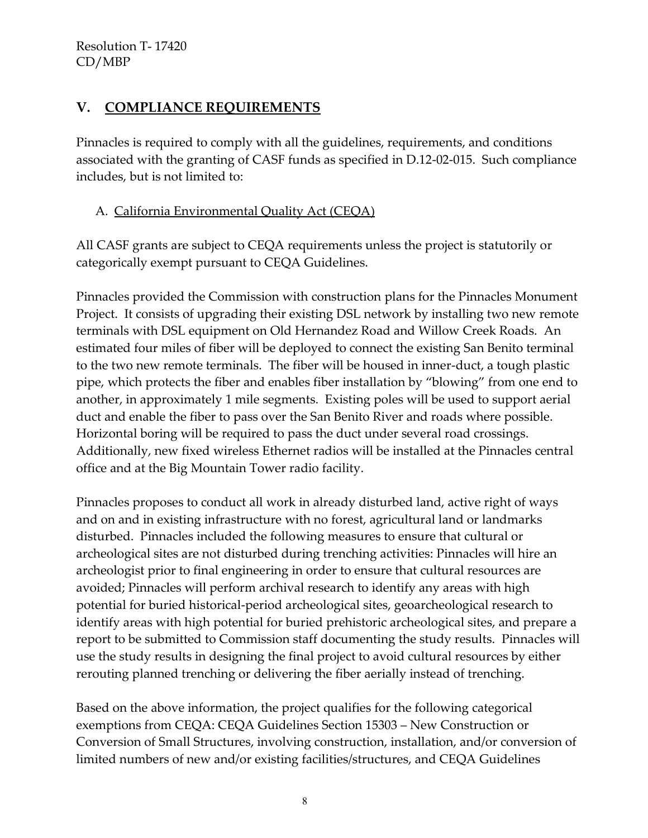# **V. COMPLIANCE REQUIREMENTS**

Pinnacles is required to comply with all the guidelines, requirements, and conditions associated with the granting of CASF funds as specified in D.12-02-015. Such compliance includes, but is not limited to:

### A. California Environmental Quality Act (CEQA)

All CASF grants are subject to CEQA requirements unless the project is statutorily or categorically exempt pursuant to CEQA Guidelines.

Pinnacles provided the Commission with construction plans for the Pinnacles Monument Project. It consists of upgrading their existing DSL network by installing two new remote terminals with DSL equipment on Old Hernandez Road and Willow Creek Roads. An estimated four miles of fiber will be deployed to connect the existing San Benito terminal to the two new remote terminals. The fiber will be housed in inner-duct, a tough plastic pipe, which protects the fiber and enables fiber installation by "blowing" from one end to another, in approximately 1 mile segments. Existing poles will be used to support aerial duct and enable the fiber to pass over the San Benito River and roads where possible. Horizontal boring will be required to pass the duct under several road crossings. Additionally, new fixed wireless Ethernet radios will be installed at the Pinnacles central office and at the Big Mountain Tower radio facility.

Pinnacles proposes to conduct all work in already disturbed land, active right of ways and on and in existing infrastructure with no forest, agricultural land or landmarks disturbed. Pinnacles included the following measures to ensure that cultural or archeological sites are not disturbed during trenching activities: Pinnacles will hire an archeologist prior to final engineering in order to ensure that cultural resources are avoided; Pinnacles will perform archival research to identify any areas with high potential for buried historical-period archeological sites, geoarcheological research to identify areas with high potential for buried prehistoric archeological sites, and prepare a report to be submitted to Commission staff documenting the study results. Pinnacles will use the study results in designing the final project to avoid cultural resources by either rerouting planned trenching or delivering the fiber aerially instead of trenching.

Based on the above information, the project qualifies for the following categorical exemptions from CEQA: CEQA Guidelines Section 15303 – New Construction or Conversion of Small Structures, involving construction, installation, and/or conversion of limited numbers of new and/or existing facilities/structures, and CEQA Guidelines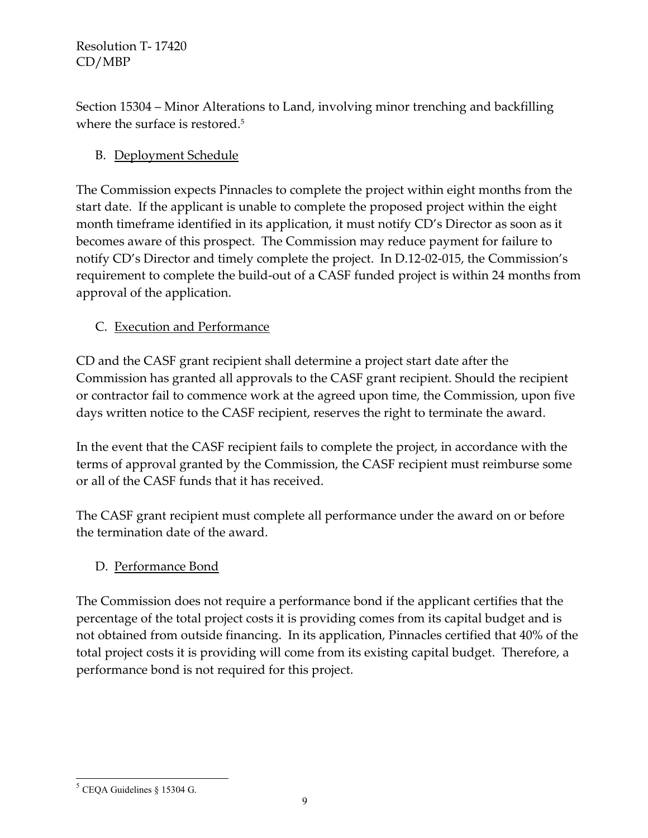Section 15304 – Minor Alterations to Land, involving minor trenching and backfilling where the surface is restored.<sup>5</sup>

# B. Deployment Schedule

The Commission expects Pinnacles to complete the project within eight months from the start date. If the applicant is unable to complete the proposed project within the eight month timeframe identified in its application, it must notify CD's Director as soon as it becomes aware of this prospect. The Commission may reduce payment for failure to notify CD's Director and timely complete the project. In D.12-02-015, the Commission's requirement to complete the build-out of a CASF funded project is within 24 months from approval of the application.

# C. Execution and Performance

CD and the CASF grant recipient shall determine a project start date after the Commission has granted all approvals to the CASF grant recipient. Should the recipient or contractor fail to commence work at the agreed upon time, the Commission, upon five days written notice to the CASF recipient, reserves the right to terminate the award.

In the event that the CASF recipient fails to complete the project, in accordance with the terms of approval granted by the Commission, the CASF recipient must reimburse some or all of the CASF funds that it has received.

The CASF grant recipient must complete all performance under the award on or before the termination date of the award.

# D. Performance Bond

The Commission does not require a performance bond if the applicant certifies that the percentage of the total project costs it is providing comes from its capital budget and is not obtained from outside financing. In its application, Pinnacles certified that 40% of the total project costs it is providing will come from its existing capital budget. Therefore, a performance bond is not required for this project.

l  $<sup>5</sup>$  CEQA Guidelines § 15304 G.</sup>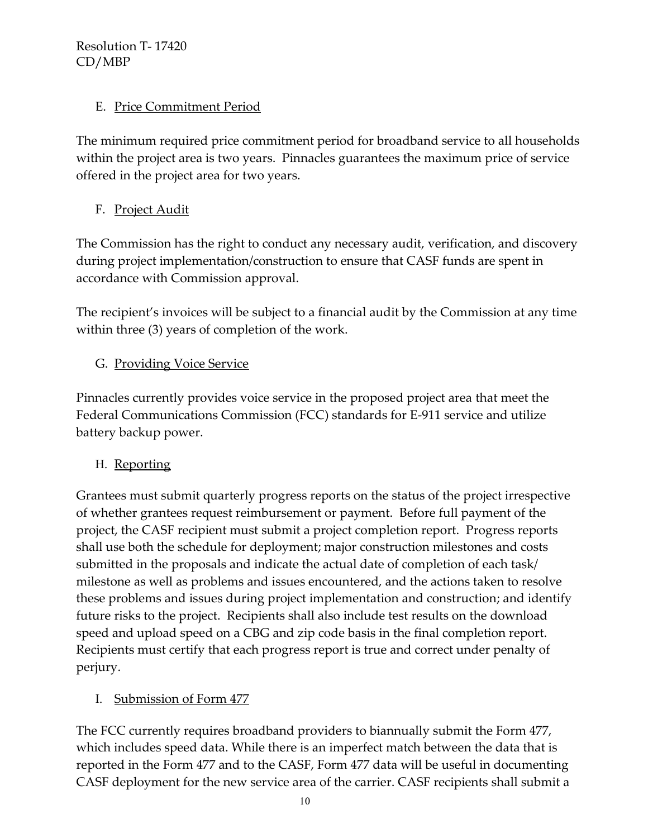### E. Price Commitment Period

The minimum required price commitment period for broadband service to all households within the project area is two years. Pinnacles guarantees the maximum price of service offered in the project area for two years.

F. Project Audit

The Commission has the right to conduct any necessary audit, verification, and discovery during project implementation/construction to ensure that CASF funds are spent in accordance with Commission approval.

The recipient's invoices will be subject to a financial audit by the Commission at any time within three (3) years of completion of the work.

# G. Providing Voice Service

Pinnacles currently provides voice service in the proposed project area that meet the Federal Communications Commission (FCC) standards for E-911 service and utilize battery backup power.

# H. Reporting

Grantees must submit quarterly progress reports on the status of the project irrespective of whether grantees request reimbursement or payment. Before full payment of the project, the CASF recipient must submit a project completion report. Progress reports shall use both the schedule for deployment; major construction milestones and costs submitted in the proposals and indicate the actual date of completion of each task/ milestone as well as problems and issues encountered, and the actions taken to resolve these problems and issues during project implementation and construction; and identify future risks to the project. Recipients shall also include test results on the download speed and upload speed on a CBG and zip code basis in the final completion report. Recipients must certify that each progress report is true and correct under penalty of perjury.

# I. Submission of Form 477

The FCC currently requires broadband providers to biannually submit the Form 477, which includes speed data. While there is an imperfect match between the data that is reported in the Form 477 and to the CASF, Form 477 data will be useful in documenting CASF deployment for the new service area of the carrier. CASF recipients shall submit a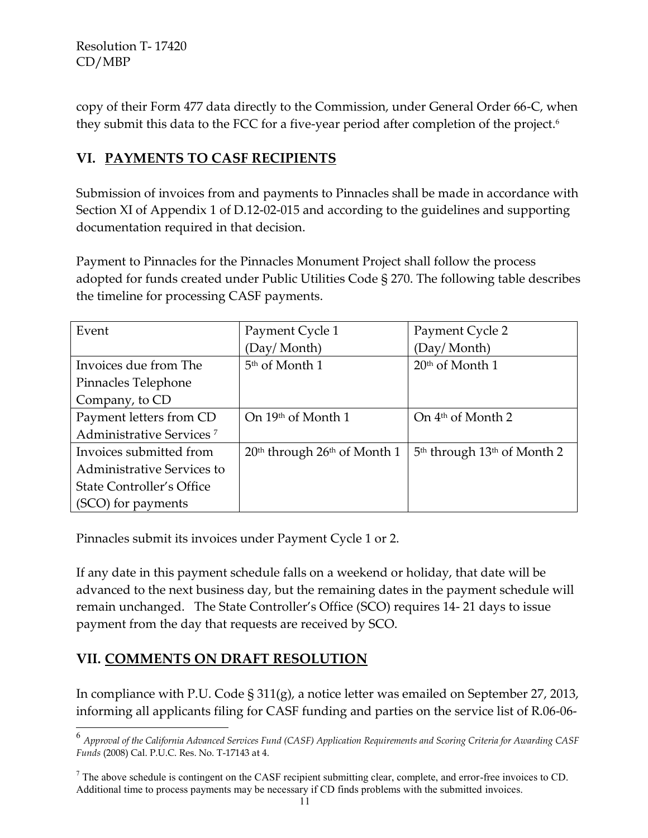copy of their Form 477 data directly to the Commission, under General Order 66-C, when they submit this data to the FCC for a five-year period after completion of the project.<sup>6</sup>

# **VI. PAYMENTS TO CASF RECIPIENTS**

Submission of invoices from and payments to Pinnacles shall be made in accordance with Section XI of Appendix 1 of D.12-02-015 and according to the guidelines and supporting documentation required in that decision.

Payment to Pinnacles for the Pinnacles Monument Project shall follow the process adopted for funds created under Public Utilities Code § 270. The following table describes the timeline for processing CASF payments.

| Event                                | Payment Cycle 1                  | Payment Cycle 2                                     |
|--------------------------------------|----------------------------------|-----------------------------------------------------|
|                                      | (Day/Month)                      | (Day/Month)                                         |
| Invoices due from The                | $5th$ of Month 1                 | $20th$ of Month 1                                   |
| Pinnacles Telephone                  |                                  |                                                     |
| Company, to CD                       |                                  |                                                     |
| Payment letters from CD              | On 19th of Month 1               | On $4th$ of Month 2                                 |
| Administrative Services <sup>7</sup> |                                  |                                                     |
| Invoices submitted from              | $20th$ through $26th$ of Month 1 | 5 <sup>th</sup> through 13 <sup>th</sup> of Month 2 |
| Administrative Services to           |                                  |                                                     |
| State Controller's Office            |                                  |                                                     |
| (SCO) for payments                   |                                  |                                                     |

Pinnacles submit its invoices under Payment Cycle 1 or 2.

If any date in this payment schedule falls on a weekend or holiday, that date will be advanced to the next business day, but the remaining dates in the payment schedule will remain unchanged. The State Controller's Office (SCO) requires 14- 21 days to issue payment from the day that requests are received by SCO.

# **VII. COMMENTS ON DRAFT RESOLUTION**

l

In compliance with P.U. Code § 311(g), a notice letter was emailed on September 27, 2013, informing all applicants filing for CASF funding and parties on the service list of R.06-06-

<sup>6</sup> *Approval of the California Advanced Services Fund (CASF) Application Requirements and Scoring Criteria for Awarding CASF Funds* (2008) Cal. P.U.C. Res. No. T-17143 at 4.

 $<sup>7</sup>$  The above schedule is contingent on the CASF recipient submitting clear, complete, and error-free invoices to CD.</sup> Additional time to process payments may be necessary if CD finds problems with the submitted invoices.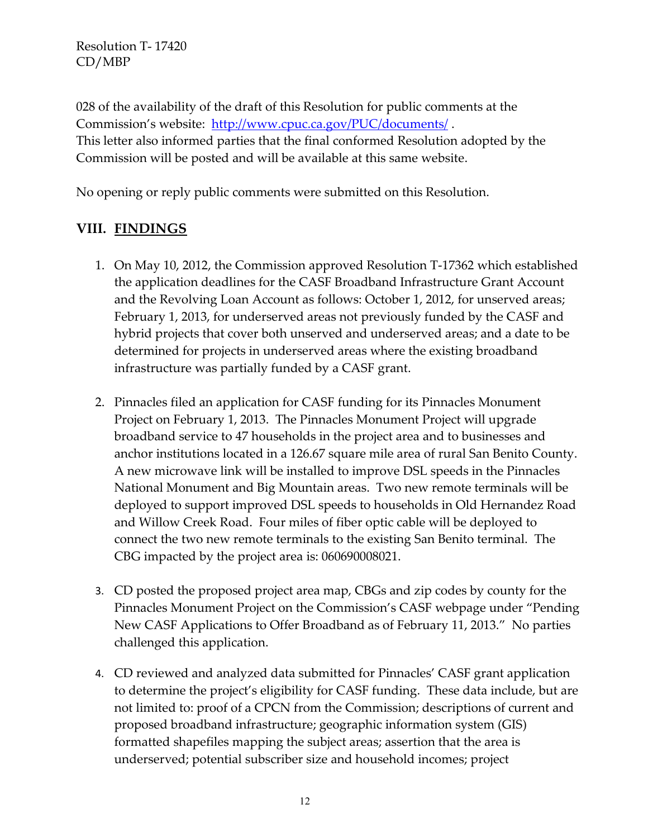028 of the availability of the draft of this Resolution for public comments at the Commission's website: <http://www.cpuc.ca.gov/PUC/documents/>. This letter also informed parties that the final conformed Resolution adopted by the Commission will be posted and will be available at this same website.

No opening or reply public comments were submitted on this Resolution.

# **VIII. FINDINGS**

- 1. On May 10, 2012, the Commission approved Resolution T-17362 which established the application deadlines for the CASF Broadband Infrastructure Grant Account and the Revolving Loan Account as follows: October 1, 2012, for unserved areas; February 1, 2013, for underserved areas not previously funded by the CASF and hybrid projects that cover both unserved and underserved areas; and a date to be determined for projects in underserved areas where the existing broadband infrastructure was partially funded by a CASF grant.
- 2. Pinnacles filed an application for CASF funding for its Pinnacles Monument Project on February 1, 2013. The Pinnacles Monument Project will upgrade broadband service to 47 households in the project area and to businesses and anchor institutions located in a 126.67 square mile area of rural San Benito County. A new microwave link will be installed to improve DSL speeds in the Pinnacles National Monument and Big Mountain areas. Two new remote terminals will be deployed to support improved DSL speeds to households in Old Hernandez Road and Willow Creek Road. Four miles of fiber optic cable will be deployed to connect the two new remote terminals to the existing San Benito terminal. The CBG impacted by the project area is: 060690008021.
- 3. CD posted the proposed project area map, CBGs and zip codes by county for the Pinnacles Monument Project on the Commission's CASF webpage under "Pending New CASF Applications to Offer Broadband as of February 11, 2013." No parties challenged this application.
- 4. CD reviewed and analyzed data submitted for Pinnacles' CASF grant application to determine the project's eligibility for CASF funding. These data include, but are not limited to: proof of a CPCN from the Commission; descriptions of current and proposed broadband infrastructure; geographic information system (GIS) formatted shapefiles mapping the subject areas; assertion that the area is underserved; potential subscriber size and household incomes; project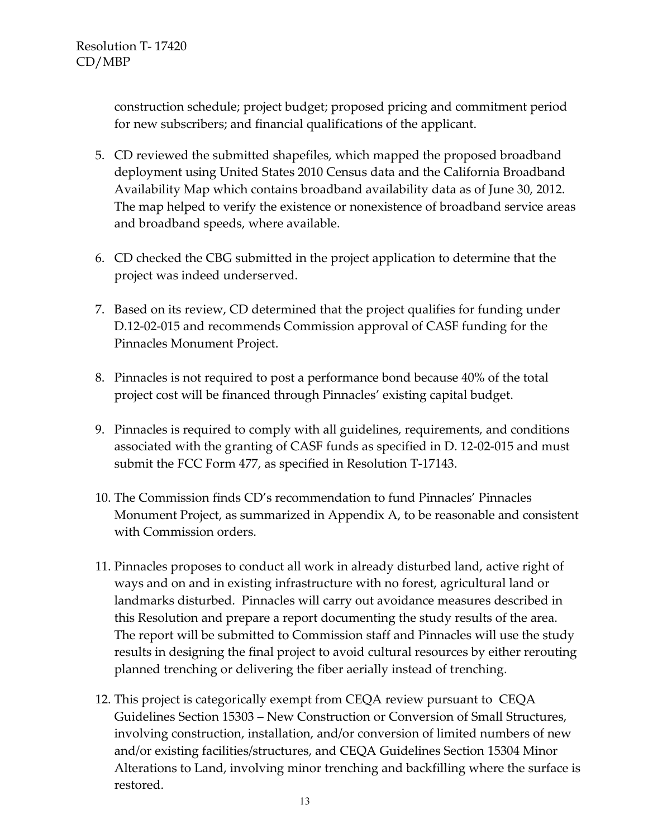construction schedule; project budget; proposed pricing and commitment period for new subscribers; and financial qualifications of the applicant.

- 5. CD reviewed the submitted shapefiles, which mapped the proposed broadband deployment using United States 2010 Census data and the California Broadband Availability Map which contains broadband availability data as of June 30, 2012. The map helped to verify the existence or nonexistence of broadband service areas and broadband speeds, where available.
- 6. CD checked the CBG submitted in the project application to determine that the project was indeed underserved.
- 7. Based on its review, CD determined that the project qualifies for funding under D.12-02-015 and recommends Commission approval of CASF funding for the Pinnacles Monument Project.
- 8. Pinnacles is not required to post a performance bond because 40% of the total project cost will be financed through Pinnacles' existing capital budget.
- 9. Pinnacles is required to comply with all guidelines, requirements, and conditions associated with the granting of CASF funds as specified in D. 12-02-015 and must submit the FCC Form 477, as specified in Resolution T-17143.
- 10. The Commission finds CD's recommendation to fund Pinnacles' Pinnacles Monument Project, as summarized in Appendix A, to be reasonable and consistent with Commission orders.
- 11. Pinnacles proposes to conduct all work in already disturbed land, active right of ways and on and in existing infrastructure with no forest, agricultural land or landmarks disturbed. Pinnacles will carry out avoidance measures described in this Resolution and prepare a report documenting the study results of the area. The report will be submitted to Commission staff and Pinnacles will use the study results in designing the final project to avoid cultural resources by either rerouting planned trenching or delivering the fiber aerially instead of trenching.
- 12. This project is categorically exempt from CEQA review pursuant to CEQA Guidelines Section 15303 – New Construction or Conversion of Small Structures, involving construction, installation, and/or conversion of limited numbers of new and/or existing facilities/structures, and CEQA Guidelines Section 15304 Minor Alterations to Land, involving minor trenching and backfilling where the surface is restored.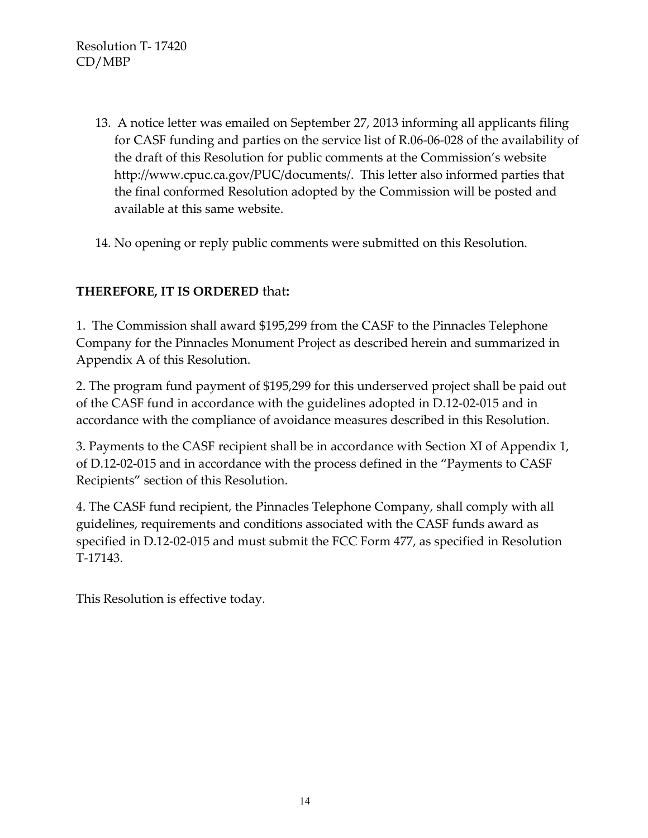- 13. A notice letter was emailed on September 27, 2013 informing all applicants filing for CASF funding and parties on the service list of R.06-06-028 of the availability of the draft of this Resolution for public comments at the Commission's website http://www.cpuc.ca.gov/PUC/documents/. This letter also informed parties that the final conformed Resolution adopted by the Commission will be posted and available at this same website.
- 14. No opening or reply public comments were submitted on this Resolution.

# **THEREFORE, IT IS ORDERED** that**:**

1. The Commission shall award \$195,299 from the CASF to the Pinnacles Telephone Company for the Pinnacles Monument Project as described herein and summarized in Appendix A of this Resolution.

2. The program fund payment of \$195,299 for this underserved project shall be paid out of the CASF fund in accordance with the guidelines adopted in D.12-02-015 and in accordance with the compliance of avoidance measures described in this Resolution.

3. Payments to the CASF recipient shall be in accordance with Section XI of Appendix 1, of D.12-02-015 and in accordance with the process defined in the "Payments to CASF Recipients" section of this Resolution.

4. The CASF fund recipient, the Pinnacles Telephone Company, shall comply with all guidelines, requirements and conditions associated with the CASF funds award as specified in D.12-02-015 and must submit the FCC Form 477, as specified in Resolution T-17143.

This Resolution is effective today.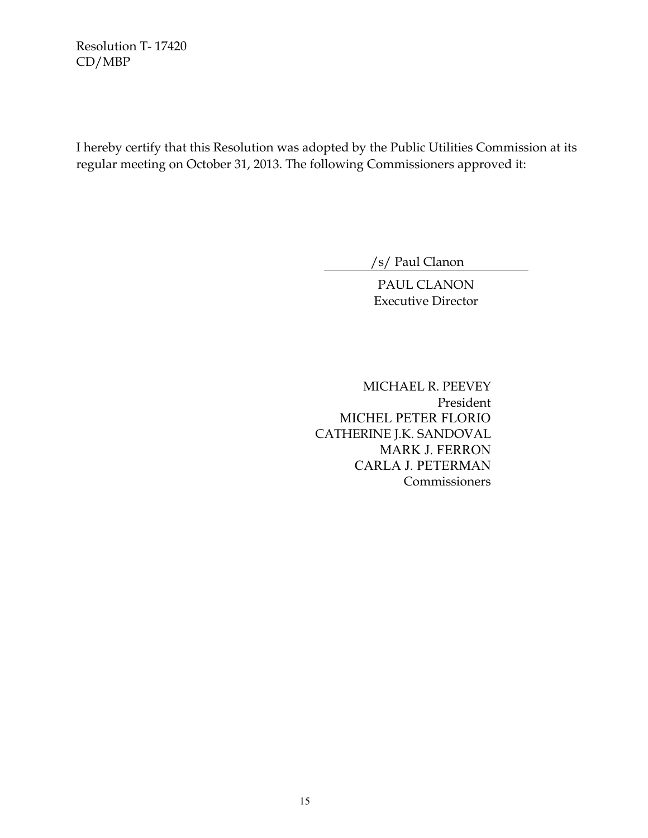I hereby certify that this Resolution was adopted by the Public Utilities Commission at its regular meeting on October 31, 2013. The following Commissioners approved it:

/s/ Paul Clanon

PAUL CLANON Executive Director

 MICHAEL R. PEEVEY President MICHEL PETER FLORIO CATHERINE J.K. SANDOVAL MARK J. FERRON CARLA J. PETERMAN Commissioners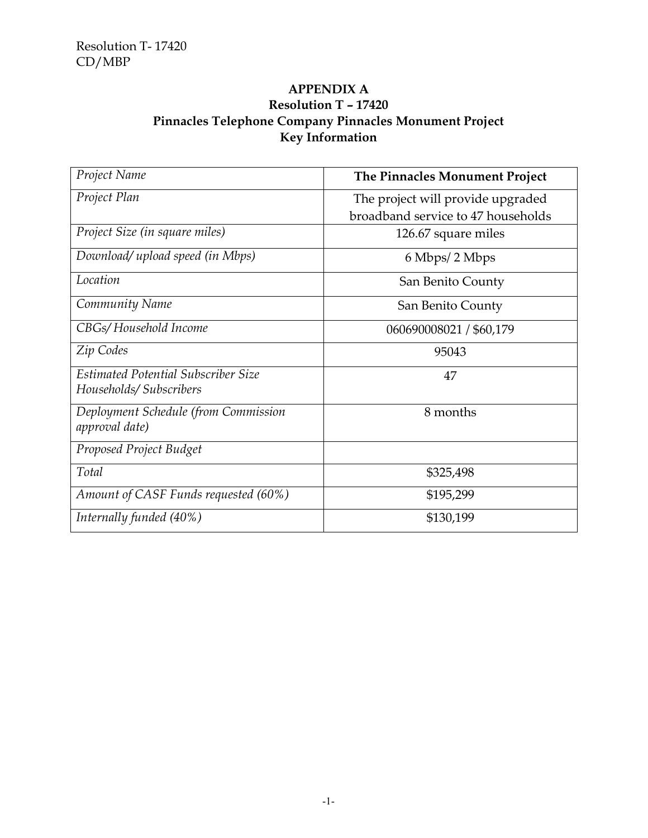#### **APPENDIX A Resolution T – 17420 Pinnacles Telephone Company Pinnacles Monument Project Key Information**

| Project Name                                           | The Pinnacles Monument Project     |
|--------------------------------------------------------|------------------------------------|
| Project Plan                                           | The project will provide upgraded  |
|                                                        | broadband service to 47 households |
| Project Size (in square miles)                         | 126.67 square miles                |
| Download/ upload speed (in Mbps)                       | 6 Mbps/2 Mbps                      |
| Location                                               | San Benito County                  |
| Community Name                                         | San Benito County                  |
| CBGs/Household Income                                  | 060690008021 / \$60,179            |
| Zip Codes                                              | 95043                              |
| <b>Estimated Potential Subscriber Size</b>             | 47                                 |
| Households/Subscribers                                 |                                    |
| Deployment Schedule (from Commission<br>approval date) | 8 months                           |
| Proposed Project Budget                                |                                    |
| Total                                                  | \$325,498                          |
| Amount of CASF Funds requested (60%)                   | \$195,299                          |
| Internally funded (40%)                                | \$130,199                          |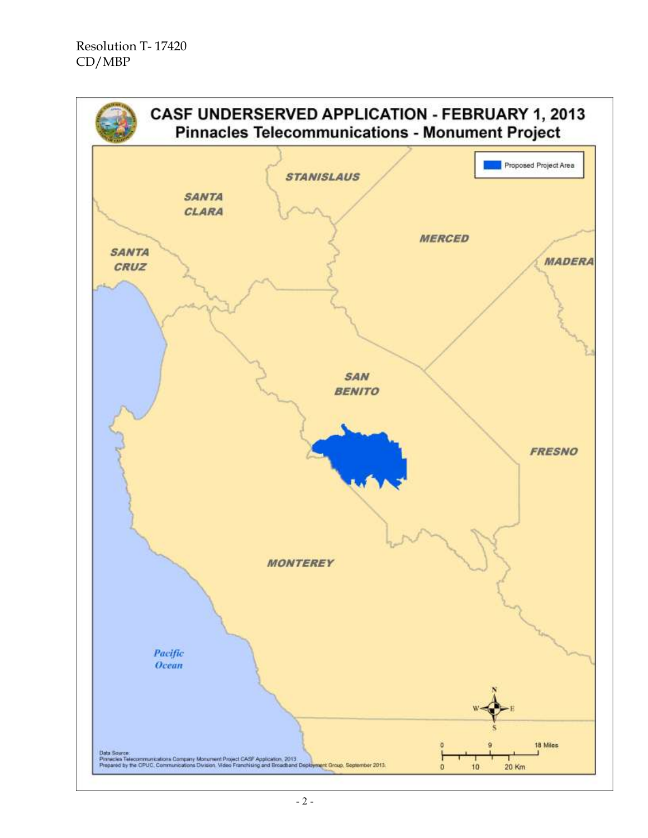